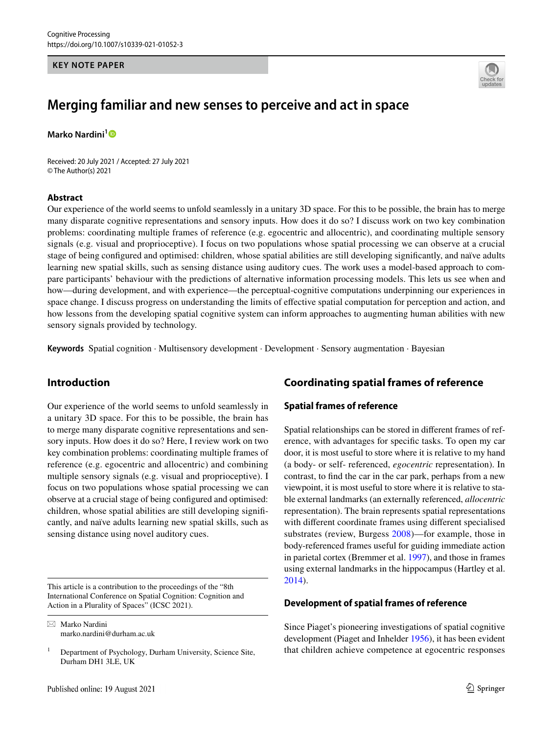#### **KEY NOTE PAPER**



# **Merging familiar and new senses to perceive and act in space**

**Marko Nardini[1](http://orcid.org/0000-0001-6614-7775)**

Received: 20 July 2021 / Accepted: 27 July 2021 © The Author(s) 2021

#### **Abstract**

Our experience of the world seems to unfold seamlessly in a unitary 3D space. For this to be possible, the brain has to merge many disparate cognitive representations and sensory inputs. How does it do so? I discuss work on two key combination problems: coordinating multiple frames of reference (e.g. egocentric and allocentric), and coordinating multiple sensory signals (e.g. visual and proprioceptive). I focus on two populations whose spatial processing we can observe at a crucial stage of being confgured and optimised: children, whose spatial abilities are still developing signifcantly, and naïve adults learning new spatial skills, such as sensing distance using auditory cues. The work uses a model-based approach to compare participants' behaviour with the predictions of alternative information processing models. This lets us see when and how—during development, and with experience—the perceptual-cognitive computations underpinning our experiences in space change. I discuss progress on understanding the limits of efective spatial computation for perception and action, and how lessons from the developing spatial cognitive system can inform approaches to augmenting human abilities with new sensory signals provided by technology.

**Keywords** Spatial cognition · Multisensory development · Development · Sensory augmentation · Bayesian

# **Introduction**

Our experience of the world seems to unfold seamlessly in a unitary 3D space. For this to be possible, the brain has to merge many disparate cognitive representations and sensory inputs. How does it do so? Here, I review work on two key combination problems: coordinating multiple frames of reference (e.g. egocentric and allocentric) and combining multiple sensory signals (e.g. visual and proprioceptive). I focus on two populations whose spatial processing we can observe at a crucial stage of being confgured and optimised: children, whose spatial abilities are still developing signifcantly, and naïve adults learning new spatial skills, such as sensing distance using novel auditory cues.

This article is a contribution to the proceedings of the "8th International Conference on Spatial Cognition: Cognition and Action in a Plurality of Spaces" (ICSC 2021).

 $\boxtimes$  Marko Nardini marko.nardini@durham.ac.uk

# **Coordinating spatial frames of reference**

## **Spatial frames of reference**

Spatial relationships can be stored in diferent frames of reference, with advantages for specifc tasks. To open my car door, it is most useful to store where it is relative to my hand (a body- or self- referenced, *egocentric* representation). In contrast, to fnd the car in the car park, perhaps from a new viewpoint, it is most useful to store where it is relative to stable external landmarks (an externally referenced, *allocentric* representation). The brain represents spatial representations with diferent coordinate frames using diferent specialised substrates (review, Burgess [2008\)](#page-5-0)—for example, those in body-referenced frames useful for guiding immediate action in parietal cortex (Bremmer et al. [1997](#page-5-1)), and those in frames using external landmarks in the hippocampus (Hartley et al. [2014](#page-5-2)).

## **Development of spatial frames of reference**

Since Piaget's pioneering investigations of spatial cognitive development (Piaget and Inhelder [1956](#page-5-3)), it has been evident that children achieve competence at egocentric responses

 $1$  Department of Psychology, Durham University, Science Site, Durham DH1 3LE, UK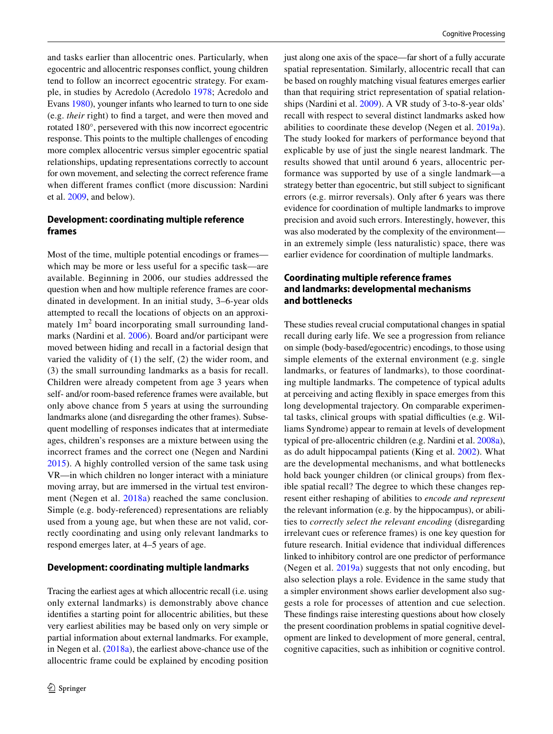and tasks earlier than allocentric ones. Particularly, when egocentric and allocentric responses confict, young children tend to follow an incorrect egocentric strategy. For example, in studies by Acredolo (Acredolo [1978](#page-5-4); Acredolo and Evans [1980\)](#page-5-5), younger infants who learned to turn to one side (e.g. *their* right) to fnd a target, and were then moved and rotated 180°, persevered with this now incorrect egocentric response. This points to the multiple challenges of encoding more complex allocentric versus simpler egocentric spatial relationships, updating representations correctly to account for own movement, and selecting the correct reference frame when diferent frames confict (more discussion: Nardini et al. [2009](#page-5-6), and below).

# **Development: coordinating multiple reference frames**

Most of the time, multiple potential encodings or frames which may be more or less useful for a specific task—are available. Beginning in 2006, our studies addressed the question when and how multiple reference frames are coordinated in development. In an initial study, 3–6-year olds attempted to recall the locations of objects on an approximately 1m<sup>2</sup> board incorporating small surrounding landmarks (Nardini et al. [2006](#page-5-7)). Board and/or participant were moved between hiding and recall in a factorial design that varied the validity of (1) the self, (2) the wider room, and (3) the small surrounding landmarks as a basis for recall. Children were already competent from age 3 years when self- and/or room-based reference frames were available, but only above chance from 5 years at using the surrounding landmarks alone (and disregarding the other frames). Subsequent modelling of responses indicates that at intermediate ages, children's responses are a mixture between using the incorrect frames and the correct one (Negen and Nardini [2015](#page-5-8)). A highly controlled version of the same task using VR—in which children no longer interact with a miniature moving array, but are immersed in the virtual test environment (Negen et al. [2018a](#page-5-9)) reached the same conclusion. Simple (e.g. body-referenced) representations are reliably used from a young age, but when these are not valid, correctly coordinating and using only relevant landmarks to respond emerges later, at 4–5 years of age.

## **Development: coordinating multiple landmarks**

Tracing the earliest ages at which allocentric recall (i.e. using only external landmarks) is demonstrably above chance identifes a starting point for allocentric abilities, but these very earliest abilities may be based only on very simple or partial information about external landmarks. For example, in Negen et al. [\(2018a](#page-5-9)), the earliest above-chance use of the allocentric frame could be explained by encoding position

just along one axis of the space—far short of a fully accurate spatial representation. Similarly, allocentric recall that can be based on roughly matching visual features emerges earlier than that requiring strict representation of spatial relationships (Nardini et al. [2009\)](#page-5-6). A VR study of 3-to-8-year olds' recall with respect to several distinct landmarks asked how abilities to coordinate these develop (Negen et al. [2019a](#page-5-10)). The study looked for markers of performance beyond that explicable by use of just the single nearest landmark. The results showed that until around 6 years, allocentric performance was supported by use of a single landmark—a strategy better than egocentric, but still subject to signifcant errors (e.g. mirror reversals). Only after 6 years was there evidence for coordination of multiple landmarks to improve precision and avoid such errors. Interestingly, however, this was also moderated by the complexity of the environment in an extremely simple (less naturalistic) space, there was earlier evidence for coordination of multiple landmarks.

# **Coordinating multiple reference frames and landmarks: developmental mechanisms and bottlenecks**

These studies reveal crucial computational changes in spatial recall during early life. We see a progression from reliance on simple (body-based/egocentric) encodings, to those using simple elements of the external environment (e.g. single landmarks, or features of landmarks), to those coordinating multiple landmarks. The competence of typical adults at perceiving and acting fexibly in space emerges from this long developmental trajectory. On comparable experimental tasks, clinical groups with spatial difficulties (e.g. Williams Syndrome) appear to remain at levels of development typical of pre-allocentric children (e.g. Nardini et al. [2008a](#page-5-11)), as do adult hippocampal patients (King et al. [2002\)](#page-5-12). What are the developmental mechanisms, and what bottlenecks hold back younger children (or clinical groups) from fexible spatial recall? The degree to which these changes represent either reshaping of abilities to *encode and represent* the relevant information (e.g. by the hippocampus), or abilities to *correctly select the relevant encoding* (disregarding irrelevant cues or reference frames) is one key question for future research. Initial evidence that individual diferences linked to inhibitory control are one predictor of performance (Negen et al. [2019a\)](#page-5-10) suggests that not only encoding, but also selection plays a role. Evidence in the same study that a simpler environment shows earlier development also suggests a role for processes of attention and cue selection. These fndings raise interesting questions about how closely the present coordination problems in spatial cognitive development are linked to development of more general, central, cognitive capacities, such as inhibition or cognitive control.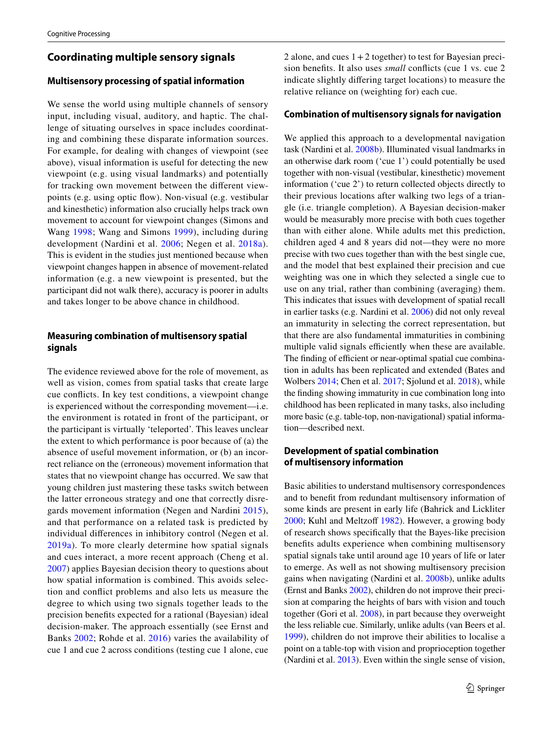# <span id="page-2-0"></span>**Coordinating multiple sensory signals**

#### **Multisensory processing of spatial information**

We sense the world using multiple channels of sensory input, including visual, auditory, and haptic. The challenge of situating ourselves in space includes coordinating and combining these disparate information sources. For example, for dealing with changes of viewpoint (see above), visual information is useful for detecting the new viewpoint (e.g. using visual landmarks) and potentially for tracking own movement between the diferent viewpoints (e.g. using optic fow). Non-visual (e.g. vestibular and kinesthetic) information also crucially helps track own movement to account for viewpoint changes (Simons and Wang [1998;](#page-6-0) Wang and Simons [1999](#page-5-13)), including during development (Nardini et al. [2006;](#page-5-7) Negen et al. [2018a\)](#page-5-9). This is evident in the studies just mentioned because when viewpoint changes happen in absence of movement-related information (e.g. a new viewpoint is presented, but the participant did not walk there), accuracy is poorer in adults and takes longer to be above chance in childhood.

## **Measuring combination of multisensory spatial signals**

The evidence reviewed above for the role of movement, as well as vision, comes from spatial tasks that create large cue conficts. In key test conditions, a viewpoint change is experienced without the corresponding movement—i.e. the environment is rotated in front of the participant, or the participant is virtually 'teleported'. This leaves unclear the extent to which performance is poor because of (a) the absence of useful movement information, or (b) an incorrect reliance on the (erroneous) movement information that states that no viewpoint change has occurred. We saw that young children just mastering these tasks switch between the latter erroneous strategy and one that correctly disregards movement information (Negen and Nardini [2015\)](#page-5-8), and that performance on a related task is predicted by individual diferences in inhibitory control (Negen et al. [2019a](#page-5-10)). To more clearly determine how spatial signals and cues interact, a more recent approach (Cheng et al. [2007\)](#page-5-14) applies Bayesian decision theory to questions about how spatial information is combined. This avoids selection and confict problems and also lets us measure the degree to which using two signals together leads to the precision benefts expected for a rational (Bayesian) ideal decision-maker. The approach essentially (see Ernst and Banks [2002;](#page-5-15) Rohde et al. [2016\)](#page-6-1) varies the availability of cue 1 and cue 2 across conditions (testing cue 1 alone, cue

2 alone, and cues  $1+2$  together) to test for Bayesian precision benefts. It also uses *small* conficts (cue 1 vs. cue 2 indicate slightly difering target locations) to measure the relative reliance on (weighting for) each cue.

#### **Combination of multisensory signals for navigation**

We applied this approach to a developmental navigation task (Nardini et al. [2008b](#page-5-7)). Illuminated visual landmarks in an otherwise dark room ('cue 1') could potentially be used together with non-visual (vestibular, kinesthetic) movement information ('cue 2') to return collected objects directly to their previous locations after walking two legs of a triangle (i.e. triangle completion). A Bayesian decision-maker would be measurably more precise with both cues together than with either alone. While adults met this prediction, children aged 4 and 8 years did not—they were no more precise with two cues together than with the best single cue, and the model that best explained their precision and cue weighting was one in which they selected a single cue to use on any trial, rather than combining (averaging) them. This indicates that issues with development of spatial recall in earlier tasks (e.g. Nardini et al. [2006](#page-5-7)) did not only reveal an immaturity in selecting the correct representation, but that there are also fundamental immaturities in combining multiple valid signals efficiently when these are available. The finding of efficient or near-optimal spatial cue combination in adults has been replicated and extended (Bates and Wolbers [2014](#page-5-16); Chen et al. [2017;](#page-5-17) Sjolund et al. [2018\)](#page-6-2), while the fnding showing immaturity in cue combination long into childhood has been replicated in many tasks, also including more basic (e.g. table-top, non-navigational) spatial information—described next.

## **Development of spatial combination of multisensory information**

Basic abilities to understand multisensory correspondences and to beneft from redundant multisensory information of some kinds are present in early life (Bahrick and Lickliter [2000](#page-5-18); Kuhl and Meltzoff [1982](#page-5-19)). However, a growing body of research shows specifcally that the Bayes-like precision benefts adults experience when combining multisensory spatial signals take until around age 10 years of life or later to emerge. As well as not showing multisensory precision gains when navigating (Nardini et al. [2008b\)](#page-5-7), unlike adults (Ernst and Banks [2002](#page-5-15)), children do not improve their precision at comparing the heights of bars with vision and touch together (Gori et al. [2008](#page-5-20)), in part because they overweight the less reliable cue. Similarly, unlike adults (van Beers et al. [1999\)](#page-6-3), children do not improve their abilities to localise a point on a table-top with vision and proprioception together (Nardini et al. [2013](#page-5-21)). Even within the single sense of vision,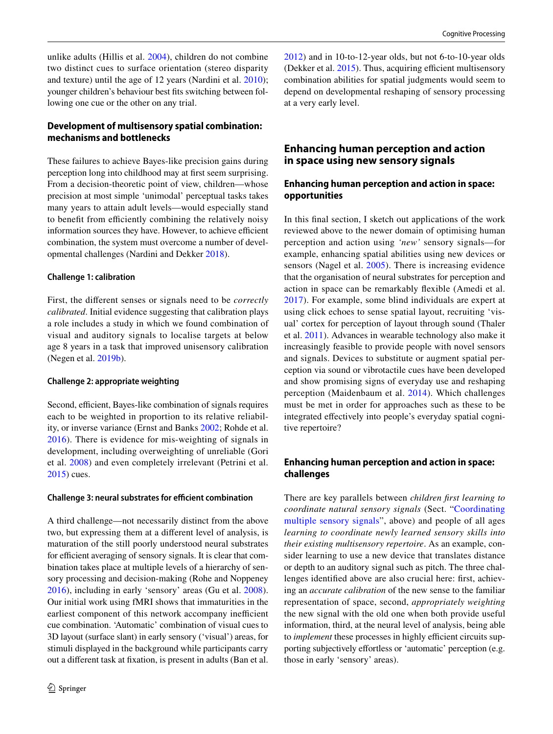unlike adults (Hillis et al. [2004\)](#page-5-22), children do not combine two distinct cues to surface orientation (stereo disparity and texture) until the age of 12 years (Nardini et al. [2010\)](#page-5-23); younger children's behaviour best fts switching between following one cue or the other on any trial.

# **Development of multisensory spatial combination: mechanisms and bottlenecks**

These failures to achieve Bayes-like precision gains during perception long into childhood may at frst seem surprising. From a decision-theoretic point of view, children—whose precision at most simple 'unimodal' perceptual tasks takes many years to attain adult levels—would especially stand to benefit from efficiently combining the relatively noisy information sources they have. However, to achieve efficient combination, the system must overcome a number of developmental challenges (Nardini and Dekker [2018\)](#page-5-6).

#### **Challenge 1: calibration**

First, the diferent senses or signals need to be *correctly calibrated*. Initial evidence suggesting that calibration plays a role includes a study in which we found combination of visual and auditory signals to localise targets at below age 8 years in a task that improved unisensory calibration (Negen et al. [2019b](#page-5-24)).

#### **Challenge 2: appropriate weighting**

Second, efficient, Bayes-like combination of signals requires each to be weighted in proportion to its relative reliability, or inverse variance (Ernst and Banks [2002](#page-5-15); Rohde et al. [2016\)](#page-6-1). There is evidence for mis-weighting of signals in development, including overweighting of unreliable (Gori et al. [2008\)](#page-5-20) and even completely irrelevant (Petrini et al. [2015](#page-5-25)) cues.

#### **Challenge 3: neural substrates for efficient combination**

A third challenge—not necessarily distinct from the above two, but expressing them at a diferent level of analysis, is maturation of the still poorly understood neural substrates for efficient averaging of sensory signals. It is clear that combination takes place at multiple levels of a hierarchy of sensory processing and decision-making (Rohe and Noppeney [2016](#page-6-4)), including in early 'sensory' areas (Gu et al. [2008](#page-5-26)). Our initial work using fMRI shows that immaturities in the earliest component of this network accompany inefficient cue combination. 'Automatic' combination of visual cues to 3D layout (surface slant) in early sensory ('visual') areas, for stimuli displayed in the background while participants carry out a diferent task at fxation, is present in adults (Ban et al. [2012](#page-5-27)) and in 10-to-12-year olds, but not 6-to-10-year olds (Dekker et al.  $2015$ ). Thus, acquiring efficient multisensory combination abilities for spatial judgments would seem to depend on developmental reshaping of sensory processing at a very early level.

# **Enhancing human perception and action in space using new sensory signals**

# **Enhancing human perception and action in space: opportunities**

In this fnal section, I sketch out applications of the work reviewed above to the newer domain of optimising human perception and action using *'new'* sensory signals—for example, enhancing spatial abilities using new devices or sensors (Nagel et al. [2005](#page-5-29)). There is increasing evidence that the organisation of neural substrates for perception and action in space can be remarkably fexible (Amedi et al. [2017\)](#page-5-30). For example, some blind individuals are expert at using click echoes to sense spatial layout, recruiting 'visual' cortex for perception of layout through sound (Thaler et al. [2011\)](#page-6-5). Advances in wearable technology also make it increasingly feasible to provide people with novel sensors and signals. Devices to substitute or augment spatial perception via sound or vibrotactile cues have been developed and show promising signs of everyday use and reshaping perception (Maidenbaum et al. [2014](#page-5-31)). Which challenges must be met in order for approaches such as these to be integrated efectively into people's everyday spatial cognitive repertoire?

# **Enhancing human perception and action in space: challenges**

There are key parallels between *children frst learning to coordinate natural sensory signals* (Sect. ["Coordinating](#page-2-0) [multiple sensory signals"](#page-2-0), above) and people of all ages *learning to coordinate newly learned sensory skills into their existing multisensory repertoire*. As an example, consider learning to use a new device that translates distance or depth to an auditory signal such as pitch. The three challenges identifed above are also crucial here: frst, achieving an *accurate calibration* of the new sense to the familiar representation of space, second, *appropriately weighting* the new signal with the old one when both provide useful information, third, at the neural level of analysis, being able to *implement* these processes in highly efficient circuits supporting subjectively effortless or 'automatic' perception (e.g. those in early 'sensory' areas).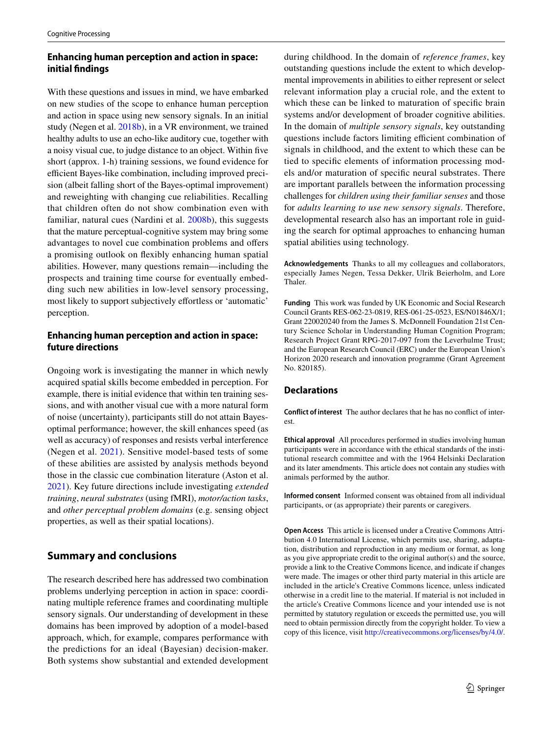# **Enhancing human perception and action in space: initial fndings**

With these questions and issues in mind, we have embarked on new studies of the scope to enhance human perception and action in space using new sensory signals. In an initial study (Negen et al. [2018b](#page-5-32)), in a VR environment, we trained healthy adults to use an echo-like auditory cue, together with a noisy visual cue, to judge distance to an object. Within fve short (approx. 1-h) training sessions, we found evidence for efficient Bayes-like combination, including improved precision (albeit falling short of the Bayes-optimal improvement) and reweighting with changing cue reliabilities. Recalling that children often do not show combination even with familiar, natural cues (Nardini et al. [2008b\)](#page-5-7), this suggests that the mature perceptual-cognitive system may bring some advantages to novel cue combination problems and ofers a promising outlook on fexibly enhancing human spatial abilities. However, many questions remain—including the prospects and training time course for eventually embedding such new abilities in low-level sensory processing, most likely to support subjectively effortless or 'automatic' perception.

# **Enhancing human perception and action in space: future directions**

Ongoing work is investigating the manner in which newly acquired spatial skills become embedded in perception. For example, there is initial evidence that within ten training sessions, and with another visual cue with a more natural form of noise (uncertainty), participants still do not attain Bayesoptimal performance; however, the skill enhances speed (as well as accuracy) of responses and resists verbal interference (Negen et al. [2021](#page-5-33)). Sensitive model-based tests of some of these abilities are assisted by analysis methods beyond those in the classic cue combination literature (Aston et al. [2021](#page-5-34)). Key future directions include investigating *extended training*, *neural substrates* (using fMRI), *motor/action tasks*, and *other perceptual problem domains* (e.g. sensing object properties, as well as their spatial locations).

# **Summary and conclusions**

The research described here has addressed two combination problems underlying perception in action in space: coordinating multiple reference frames and coordinating multiple sensory signals. Our understanding of development in these domains has been improved by adoption of a model-based approach, which, for example, compares performance with the predictions for an ideal (Bayesian) decision-maker. Both systems show substantial and extended development

during childhood. In the domain of *reference frames*, key outstanding questions include the extent to which developmental improvements in abilities to either represent or select relevant information play a crucial role, and the extent to which these can be linked to maturation of specifc brain systems and/or development of broader cognitive abilities. In the domain of *multiple sensory signals*, key outstanding questions include factors limiting efficient combination of signals in childhood, and the extent to which these can be tied to specifc elements of information processing models and/or maturation of specifc neural substrates. There are important parallels between the information processing challenges for *children using their familiar senses* and those for *adults learning to use new sensory signals*. Therefore, developmental research also has an important role in guiding the search for optimal approaches to enhancing human spatial abilities using technology.

**Acknowledgements** Thanks to all my colleagues and collaborators, especially James Negen, Tessa Dekker, Ulrik Beierholm, and Lore Thaler.

**Funding** This work was funded by UK Economic and Social Research Council Grants RES-062-23-0819, RES-061-25-0523, ES/N01846X/1; Grant 220020240 from the James S. McDonnell Foundation 21st Century Science Scholar in Understanding Human Cognition Program; Research Project Grant RPG-2017-097 from the Leverhulme Trust; and the European Research Council (ERC) under the European Union's Horizon 2020 research and innovation programme (Grant Agreement No. 820185).

## **Declarations**

**Conflict of interest** The author declares that he has no confict of interest.

**Ethical approval** All procedures performed in studies involving human participants were in accordance with the ethical standards of the institutional research committee and with the 1964 Helsinki Declaration and its later amendments. This article does not contain any studies with animals performed by the author.

**Informed consent** Informed consent was obtained from all individual participants, or (as appropriate) their parents or caregivers.

**Open Access** This article is licensed under a Creative Commons Attribution 4.0 International License, which permits use, sharing, adaptation, distribution and reproduction in any medium or format, as long as you give appropriate credit to the original author(s) and the source, provide a link to the Creative Commons licence, and indicate if changes were made. The images or other third party material in this article are included in the article's Creative Commons licence, unless indicated otherwise in a credit line to the material. If material is not included in the article's Creative Commons licence and your intended use is not permitted by statutory regulation or exceeds the permitted use, you will need to obtain permission directly from the copyright holder. To view a copy of this licence, visit<http://creativecommons.org/licenses/by/4.0/>.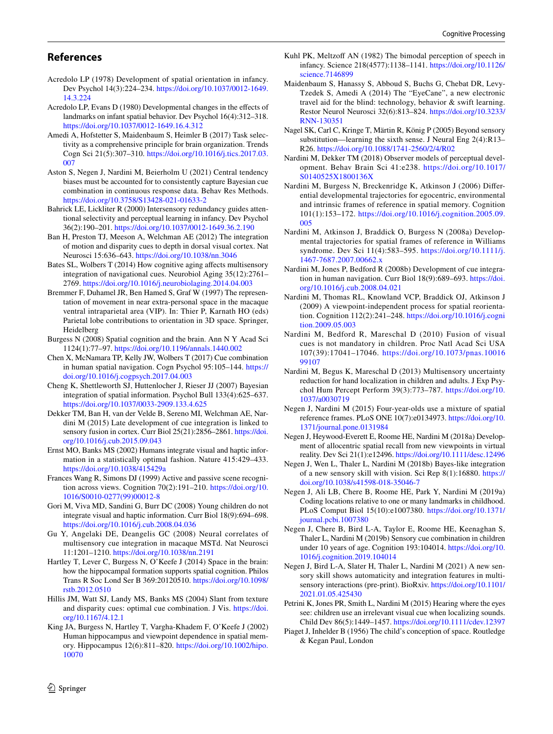# **References**

- <span id="page-5-4"></span>Acredolo LP (1978) Development of spatial orientation in infancy. Dev Psychol 14(3):224–234. [https://doi.org/10.1037/0012-1649.](https://doi.org/10.1037/0012-1649.14.3.224) [14.3.224](https://doi.org/10.1037/0012-1649.14.3.224)
- <span id="page-5-5"></span>Acredolo LP, Evans D (1980) Developmental changes in the effects of landmarks on infant spatial behavior. Dev Psychol 16(4):312–318. <https://doi.org/10.1037/0012-1649.16.4.312>
- <span id="page-5-30"></span>Amedi A, Hofstetter S, Maidenbaum S, Heimler B (2017) Task selectivity as a comprehensive principle for brain organization. Trends Cogn Sci 21(5):307–310. [https://doi.org/10.1016/j.tics.2017.03.](https://doi.org/10.1016/j.tics.2017.03.007) [007](https://doi.org/10.1016/j.tics.2017.03.007)
- <span id="page-5-34"></span>Aston S, Negen J, Nardini M, Beierholm U (2021) Central tendency biases must be accounted for to consistently capture Bayesian cue combination in continuous response data. Behav Res Methods. <https://doi.org/10.3758/S13428-021-01633-2>
- <span id="page-5-18"></span>Bahrick LE, Lickliter R (2000) Intersensory redundancy guides attentional selectivity and perceptual learning in infancy. Dev Psychol 36(2):190–201.<https://doi.org/10.1037/0012-1649.36.2.190>
- <span id="page-5-27"></span>Ban H, Preston TJ, Meeson A, Welchman AE (2012) The integration of motion and disparity cues to depth in dorsal visual cortex. Nat Neurosci 15:636–643.<https://doi.org/10.1038/nn.3046>
- <span id="page-5-16"></span>Bates SL, Wolbers T (2014) How cognitive aging afects multisensory integration of navigational cues. Neurobiol Aging 35(12):2761– 2769.<https://doi.org/10.1016/j.neurobiolaging.2014.04.003>
- <span id="page-5-1"></span>Bremmer F, Duhamel JR, Ben Hamed S, Graf W (1997) The representation of movement in near extra-personal space in the macaque ventral intraparietal area (VIP). In: Thier P, Karnath HO (eds) Parietal lobe contributions to orientation in 3D space. Springer, Heidelberg
- <span id="page-5-0"></span>Burgess N (2008) Spatial cognition and the brain. Ann N Y Acad Sci 1124(1):77–97.<https://doi.org/10.1196/annals.1440.002>
- <span id="page-5-17"></span>Chen X, McNamara TP, Kelly JW, Wolbers T (2017) Cue combination in human spatial navigation. Cogn Psychol 95:105–144. [https://](https://doi.org/10.1016/j.cogpsych.2017.04.003) [doi.org/10.1016/j.cogpsych.2017.04.003](https://doi.org/10.1016/j.cogpsych.2017.04.003)
- <span id="page-5-14"></span>Cheng K, Shettleworth SJ, Huttenlocher J, Rieser JJ (2007) Bayesian integration of spatial information. Psychol Bull 133(4):625–637. <https://doi.org/10.1037/0033-2909.133.4.625>
- <span id="page-5-28"></span>Dekker TM, Ban H, van der Velde B, Sereno MI, Welchman AE, Nardini M (2015) Late development of cue integration is linked to sensory fusion in cortex. Curr Biol 25(21):2856–2861. [https://doi.](https://doi.org/10.1016/j.cub.2015.09.043) [org/10.1016/j.cub.2015.09.043](https://doi.org/10.1016/j.cub.2015.09.043)
- <span id="page-5-15"></span>Ernst MO, Banks MS (2002) Humans integrate visual and haptic information in a statistically optimal fashion. Nature 415:429–433. <https://doi.org/10.1038/415429a>
- <span id="page-5-13"></span>Frances Wang R, Simons DJ (1999) Active and passive scene recognition across views. Cognition 70(2):191–210. [https://doi.org/10.](https://doi.org/10.1016/S0010-0277(99)00012-8) [1016/S0010-0277\(99\)00012-8](https://doi.org/10.1016/S0010-0277(99)00012-8)
- <span id="page-5-20"></span>Gori M, Viva MD, Sandini G, Burr DC (2008) Young children do not integrate visual and haptic information. Curr Biol 18(9):694–698. <https://doi.org/10.1016/j.cub.2008.04.036>
- <span id="page-5-26"></span>Gu Y, Angelaki DE, Deangelis GC (2008) Neural correlates of multisensory cue integration in macaque MSTd. Nat Neurosci 11:1201–1210. <https://doi.org/10.1038/nn.2191>
- <span id="page-5-2"></span>Hartley T, Lever C, Burgess N, O'Keefe J (2014) Space in the brain: how the hippocampal formation supports spatial cognition. Philos Trans R Soc Lond Ser B 369:20120510. [https://doi.org/10.1098/](https://doi.org/10.1098/rstb.2012.0510) [rstb.2012.0510](https://doi.org/10.1098/rstb.2012.0510)
- <span id="page-5-22"></span>Hillis JM, Watt SJ, Landy MS, Banks MS (2004) Slant from texture and disparity cues: optimal cue combination. J Vis. [https://doi.](https://doi.org/10.1167/4.12.1) [org/10.1167/4.12.1](https://doi.org/10.1167/4.12.1)
- <span id="page-5-12"></span>King JA, Burgess N, Hartley T, Vargha-Khadem F, O'Keefe J (2002) Human hippocampus and viewpoint dependence in spatial memory. Hippocampus 12(6):811–820. [https://doi.org/10.1002/hipo.](https://doi.org/10.1002/hipo.10070) [10070](https://doi.org/10.1002/hipo.10070)
- <span id="page-5-19"></span>Kuhl PK, Meltzoff AN (1982) The bimodal perception of speech in infancy. Science 218(4577):1138–1141. [https://doi.org/10.1126/](https://doi.org/10.1126/science.7146899) [science.7146899](https://doi.org/10.1126/science.7146899)
- <span id="page-5-31"></span>Maidenbaum S, Hanassy S, Abboud S, Buchs G, Chebat DR, Levy-Tzedek S, Amedi A (2014) The "EyeCane", a new electronic travel aid for the blind: technology, behavior & swift learning. Restor Neurol Neurosci 32(6):813–824. [https://doi.org/10.3233/](https://doi.org/10.3233/RNN-130351) [RNN-130351](https://doi.org/10.3233/RNN-130351)
- <span id="page-5-29"></span>Nagel SK, Carl C, Kringe T, Märtin R, König P (2005) Beyond sensory substitution—learning the sixth sense. J Neural Eng 2(4):R13– R26. <https://doi.org/10.1088/1741-2560/2/4/R02>
- <span id="page-5-6"></span>Nardini M, Dekker TM (2018) Observer models of perceptual development. Behav Brain Sci 41:e238. [https://doi.org/10.1017/](https://doi.org/10.1017/S0140525X1800136X) [S0140525X1800136X](https://doi.org/10.1017/S0140525X1800136X)
- <span id="page-5-7"></span>Nardini M, Burgess N, Breckenridge K, Atkinson J (2006) Diferential developmental trajectories for egocentric, environmental and intrinsic frames of reference in spatial memory. Cognition 101(1):153–172. [https://doi.org/10.1016/j.cognition.2005.09.](https://doi.org/10.1016/j.cognition.2005.09.005) [005](https://doi.org/10.1016/j.cognition.2005.09.005)
- Nardini M, Atkinson J, Braddick O, Burgess N (2008a) Developmental trajectories for spatial frames of reference in Williams syndrome. Dev Sci 11(4):583–595. [https://doi.org/10.1111/j.](https://doi.org/10.1111/j.1467-7687.2007.00662.x) [1467-7687.2007.00662.x](https://doi.org/10.1111/j.1467-7687.2007.00662.x)
- <span id="page-5-23"></span>Nardini M, Jones P, Bedford R (2008b) Development of cue integration in human navigation. Curr Biol 18(9):689–693. [https://doi.](https://doi.org/10.1016/j.cub.2008.04.021) [org/10.1016/j.cub.2008.04.021](https://doi.org/10.1016/j.cub.2008.04.021)
- <span id="page-5-21"></span>Nardini M, Thomas RL, Knowland VCP, Braddick OJ, Atkinson J (2009) A viewpoint-independent process for spatial reorientation. Cognition 112(2):241–248. [https://doi.org/10.1016/j.cogni](https://doi.org/10.1016/j.cognition.2009.05.003) [tion.2009.05.003](https://doi.org/10.1016/j.cognition.2009.05.003)
- Nardini M, Bedford R, Mareschal D (2010) Fusion of visual cues is not mandatory in children. Proc Natl Acad Sci USA 107(39):17041–17046. [https://doi.org/10.1073/pnas.10016](https://doi.org/10.1073/pnas.1001699107) [99107](https://doi.org/10.1073/pnas.1001699107)
- <span id="page-5-11"></span>Nardini M, Begus K, Mareschal D (2013) Multisensory uncertainty reduction for hand localization in children and adults. J Exp Psychol Hum Percept Perform 39(3):773–787. [https://doi.org/10.](https://doi.org/10.1037/a0030719) [1037/a0030719](https://doi.org/10.1037/a0030719)
- <span id="page-5-8"></span>Negen J, Nardini M (2015) Four-year-olds use a mixture of spatial reference frames. PLoS ONE 10(7):e0134973. [https://doi.org/10.](https://doi.org/10.1371/journal.pone.0131984) [1371/journal.pone.0131984](https://doi.org/10.1371/journal.pone.0131984)
- <span id="page-5-9"></span>Negen J, Heywood-Everett E, Roome HE, Nardini M (2018a) Development of allocentric spatial recall from new viewpoints in virtual reality. Dev Sci 21(1):e12496.<https://doi.org/10.1111/desc.12496>
- <span id="page-5-32"></span>Negen J, Wen L, Thaler L, Nardini M (2018b) Bayes-like integration of a new sensory skill with vision. Sci Rep 8(1):16880. [https://](https://doi.org/10.1038/s41598-018-35046-7) [doi.org/10.1038/s41598-018-35046-7](https://doi.org/10.1038/s41598-018-35046-7)
- <span id="page-5-10"></span>Negen J, Ali LB, Chere B, Roome HE, Park Y, Nardini M (2019a) Coding locations relative to one or many landmarks in childhood. PLoS Comput Biol 15(10):e1007380. [https://doi.org/10.1371/](https://doi.org/10.1371/journal.pcbi.1007380) [journal.pcbi.1007380](https://doi.org/10.1371/journal.pcbi.1007380)
- <span id="page-5-24"></span>Negen J, Chere B, Bird L-A, Taylor E, Roome HE, Keenaghan S, Thaler L, Nardini M (2019b) Sensory cue combination in children under 10 years of age. Cognition 193:104014. [https://doi.org/10.](https://doi.org//10.1016/j.cognition.2019.104014) [1016/j.cognition.2019.104014](https://doi.org//10.1016/j.cognition.2019.104014)
- <span id="page-5-33"></span>Negen J, Bird L-A, Slater H, Thaler L, Nardini M (2021) A new sensory skill shows automaticity and integration features in multisensory interactions (pre-print). BioRxiv. [https://doi.org/10.1101/](https://doi.org/10.1101/2021.01.05.425430) [2021.01.05.425430](https://doi.org/10.1101/2021.01.05.425430)
- <span id="page-5-25"></span>Petrini K, Jones PR, Smith L, Nardini M (2015) Hearing where the eyes see: children use an irrelevant visual cue when localizing sounds. Child Dev 86(5):1449–1457.<https://doi.org/10.1111/cdev.12397>
- <span id="page-5-3"></span>Piaget J, Inhelder B (1956) The child's conception of space. Routledge & Kegan Paul, London